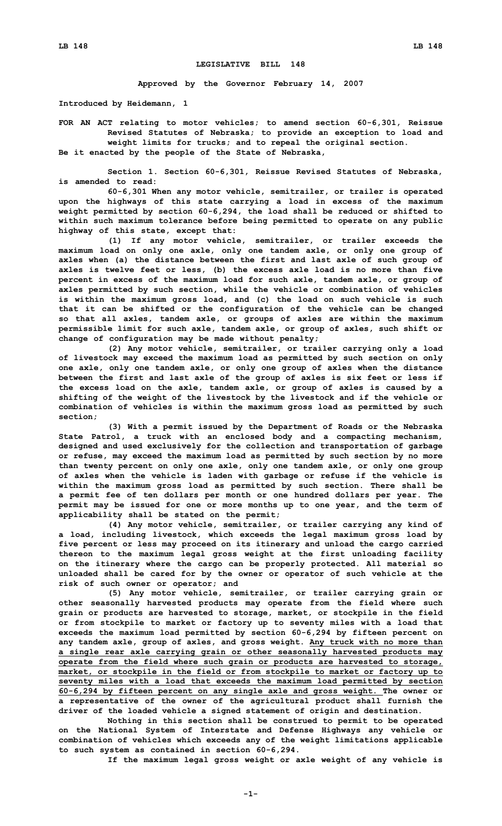## **LEGISLATIVE BILL 148**

**Approved by the Governor February 14, 2007**

**Introduced by Heidemann, 1**

## **FOR AN ACT relating to motor vehicles; to amend section 60-6,301, Reissue Revised Statutes of Nebraska; to provide an exception to load and weight limits for trucks; and to repeal the original section.**

**Be it enacted by the people of the State of Nebraska,**

**Section 1. Section 60-6,301, Reissue Revised Statutes of Nebraska, is amended to read:**

**60-6,301 When any motor vehicle, semitrailer, or trailer is operated upon the highways of this state carrying <sup>a</sup> load in excess of the maximum weight permitted by section 60-6,294, the load shall be reduced or shifted to within such maximum tolerance before being permitted to operate on any public highway of this state, except that:**

**(1) If any motor vehicle, semitrailer, or trailer exceeds the maximum load on only one axle, only one tandem axle, or only one group of axles when (a) the distance between the first and last axle of such group of axles is twelve feet or less, (b) the excess axle load is no more than five percent in excess of the maximum load for such axle, tandem axle, or group of axles permitted by such section, while the vehicle or combination of vehicles is within the maximum gross load, and (c) the load on such vehicle is such that it can be shifted or the configuration of the vehicle can be changed so that all axles, tandem axle, or groups of axles are within the maximum permissible limit for such axle, tandem axle, or group of axles, such shift or change of configuration may be made without penalty;**

**(2) Any motor vehicle, semitrailer, or trailer carrying only <sup>a</sup> load of livestock may exceed the maximum load as permitted by such section on only one axle, only one tandem axle, or only one group of axles when the distance between the first and last axle of the group of axles is six feet or less if the excess load on the axle, tandem axle, or group of axles is caused by <sup>a</sup> shifting of the weight of the livestock by the livestock and if the vehicle or combination of vehicles is within the maximum gross load as permitted by such section;**

**(3) With <sup>a</sup> permit issued by the Department of Roads or the Nebraska State Patrol, <sup>a</sup> truck with an enclosed body and <sup>a</sup> compacting mechanism, designed and used exclusively for the collection and transportation of garbage or refuse, may exceed the maximum load as permitted by such section by no more than twenty percent on only one axle, only one tandem axle, or only one group of axles when the vehicle is laden with garbage or refuse if the vehicle is within the maximum gross load as permitted by such section. There shall be <sup>a</sup> permit fee of ten dollars per month or one hundred dollars per year. The permit may be issued for one or more months up to one year, and the term of applicability shall be stated on the permit;**

**(4) Any motor vehicle, semitrailer, or trailer carrying any kind of <sup>a</sup> load, including livestock, which exceeds the legal maximum gross load by five percent or less may proceed on its itinerary and unload the cargo carried thereon to the maximum legal gross weight at the first unloading facility on the itinerary where the cargo can be properly protected. All material so unloaded shall be cared for by the owner or operator of such vehicle at the risk of such owner or operator; and**

**(5) Any motor vehicle, semitrailer, or trailer carrying grain or other seasonally harvested products may operate from the field where such grain or products are harvested to storage, market, or stockpile in the field or from stockpile to market or factory up to seventy miles with <sup>a</sup> load that exceeds the maximum load permitted by section 60-6,294 by fifteen percent on any tandem axle, group of axles, and gross weight. Any truck with no more than <sup>a</sup> single rear axle carrying grain or other seasonally harvested products may operate from the field where such grain or products are harvested to storage, market, or stockpile in the field or from stockpile to market or factory up to seventy miles with <sup>a</sup> load that exceeds the maximum load permitted by section 60-6,294 by fifteen percent on any single axle and gross weight. The owner or <sup>a</sup> representative of the owner of the agricultural product shall furnish the driver of the loaded vehicle <sup>a</sup> signed statement of origin and destination.**

**Nothing in this section shall be construed to permit to be operated on the National System of Interstate and Defense Highways any vehicle or combination of vehicles which exceeds any of the weight limitations applicable to such system as contained in section 60-6,294.**

**If the maximum legal gross weight or axle weight of any vehicle is**